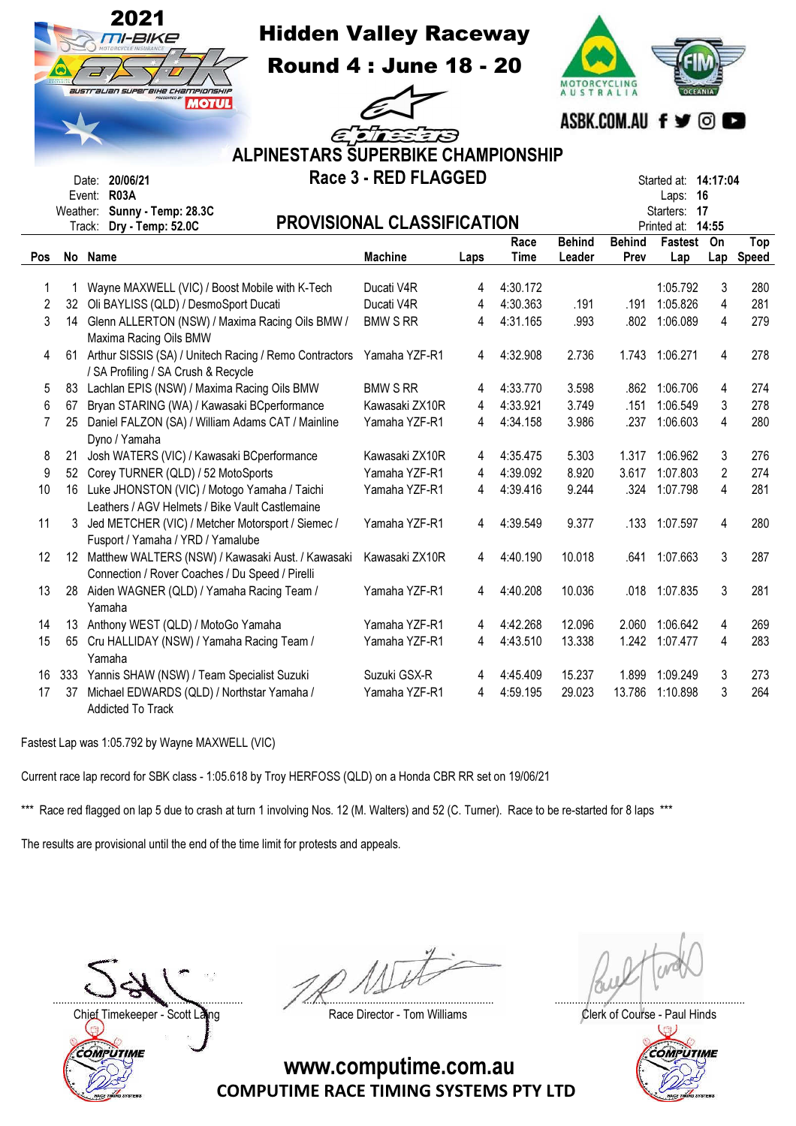|                         |     | 2021<br><b>Hidden Valley Raceway</b><br>TI-BIKE<br>australian superaike championskip<br>PRESENTED &<br><b>MOTUL</b><br><b>ALPINESTARS SUPERBIKE CHAMPIONSHIP</b> | <b>Round 4: June 18 - 20</b><br>ELLEED<br>Race 3 - RED FLAGGED |      |             | <b>AUSTRALIA</b> |               | ASBK.COM.AU f y © O                 |                |              |
|-------------------------|-----|------------------------------------------------------------------------------------------------------------------------------------------------------------------|----------------------------------------------------------------|------|-------------|------------------|---------------|-------------------------------------|----------------|--------------|
|                         |     | Date: 20/06/21<br><b>R03A</b><br>Event:                                                                                                                          |                                                                |      |             |                  |               | Started at: 14:17:04<br>16<br>Laps: |                |              |
|                         |     | Weather: Sunny - Temp: 28.3C<br>Track: Dry - Temp: 52.0C                                                                                                         | <b>PROVISIONAL CLASSIFICATION</b>                              |      |             |                  |               | Starters: 17<br>Printed at: 14:55   |                |              |
|                         |     |                                                                                                                                                                  |                                                                |      | Race        | <b>Behind</b>    | <b>Behind</b> | Fastest                             | On             | Top          |
| Pos                     |     | No Name                                                                                                                                                          | <b>Machine</b>                                                 | Laps | <b>Time</b> | Leader           | Prev          | Lap                                 | Lap            | <b>Speed</b> |
| 1                       |     | Wayne MAXWELL (VIC) / Boost Mobile with K-Tech                                                                                                                   | Ducati V4R                                                     | 4    | 4:30.172    |                  |               | 1:05.792                            | 3              | 280          |
| $\overline{\mathbf{c}}$ |     | 32 Oli BAYLISS (QLD) / DesmoSport Ducati                                                                                                                         | Ducati V4R                                                     | 4    | 4:30.363    | .191             | .191          | 1:05.826                            | 4              | 281          |
| 3                       |     | 14 Glenn ALLERTON (NSW) / Maxima Racing Oils BMW /                                                                                                               | <b>BMW S RR</b>                                                | 4    | 4:31.165    | .993             | .802          | 1:06.089                            | 4              | 279          |
|                         |     | Maxima Racing Oils BMW                                                                                                                                           |                                                                |      |             |                  |               |                                     |                |              |
| 4                       |     | 61 Arthur SISSIS (SA) / Unitech Racing / Remo Contractors                                                                                                        | Yamaha YZF-R1                                                  | 4    | 4:32.908    | 2.736            | 1.743         | 1:06.271                            | 4              | 278          |
|                         |     | / SA Profiling / SA Crush & Recycle                                                                                                                              |                                                                |      |             |                  |               |                                     |                |              |
| 5                       | 83  | Lachlan EPIS (NSW) / Maxima Racing Oils BMW                                                                                                                      | <b>BMW S RR</b>                                                | 4    | 4:33.770    | 3.598            | .862          | 1:06.706                            | 4              | 274          |
| 6                       | 67  | Bryan STARING (WA) / Kawasaki BCperformance                                                                                                                      | Kawasaki ZX10R                                                 | 4    | 4:33.921    | 3.749            | .151          | 1:06.549                            | 3              | 278          |
| 7                       | 25  | Daniel FALZON (SA) / William Adams CAT / Mainline<br>Dyno / Yamaha                                                                                               | Yamaha YZF-R1                                                  | 4    | 4:34.158    | 3.986            | .237          | 1:06.603                            | 4              | 280          |
| 8                       | 21  | Josh WATERS (VIC) / Kawasaki BCperformance                                                                                                                       | Kawasaki ZX10R                                                 | 4    | 4:35.475    | 5.303            | 1.317         | 1:06.962                            | 3              | 276          |
| 9                       |     | 52 Corey TURNER (QLD) / 52 MotoSports                                                                                                                            | Yamaha YZF-R1                                                  | 4    | 4:39.092    | 8.920            | 3.617         | 1:07.803                            | $\overline{c}$ | 274          |
| 10                      |     | 16 Luke JHONSTON (VIC) / Motogo Yamaha / Taichi                                                                                                                  | Yamaha YZF-R1                                                  | 4    | 4:39.416    | 9.244            | .324          | 1:07.798                            | 4              | 281          |
|                         |     | Leathers / AGV Helmets / Bike Vault Castlemaine                                                                                                                  |                                                                |      |             |                  |               |                                     |                |              |
| 11                      | 3   | Jed METCHER (VIC) / Metcher Motorsport / Siemec /                                                                                                                | Yamaha YZF-R1                                                  | 4    | 4:39.549    | 9.377            | .133          | 1:07.597                            | 4              | 280          |
|                         |     | Fusport / Yamaha / YRD / Yamalube                                                                                                                                |                                                                |      |             |                  |               |                                     |                |              |
| 12                      |     | 12 Matthew WALTERS (NSW) / Kawasaki Aust. / Kawasaki                                                                                                             | Kawasaki ZX10R                                                 | 4    | 4:40.190    | 10.018           | .641          | 1:07.663                            | 3              | 287          |
|                         |     | Connection / Rover Coaches / Du Speed / Pirelli                                                                                                                  |                                                                |      |             |                  |               |                                     |                |              |
| 13                      |     | 28 Aiden WAGNER (QLD) / Yamaha Racing Team /                                                                                                                     | Yamaha YZF-R1                                                  | 4    | 4:40.208    | 10.036           |               | .018 1:07.835                       | 3              | 281          |
|                         |     | Yamaha                                                                                                                                                           |                                                                |      |             |                  |               |                                     |                |              |
| 14                      | 13  | Anthony WEST (QLD) / MotoGo Yamaha                                                                                                                               | Yamaha YZF-R1                                                  | 4    | 4:42.268    | 12.096           | 2.060         | 1:06.642                            | 4              | 269          |
| 15                      |     | 65 Cru HALLIDAY (NSW) / Yamaha Racing Team /<br>Yamaha                                                                                                           | Yamaha YZF-R1                                                  | 4    | 4:43.510    | 13.338           |               | 1.242 1:07.477                      | 4              | 283          |
| 16                      | 333 | Yannis SHAW (NSW) / Team Specialist Suzuki                                                                                                                       | Suzuki GSX-R                                                   | 4    | 4:45.409    | 15.237           | 1.899         | 1:09.249                            | 3              | 273          |
| 17                      | 37  | Michael EDWARDS (QLD) / Northstar Yamaha /                                                                                                                       | Yamaha YZF-R1                                                  | 4    | 4:59.195    | 29.023           | 13.786        | 1:10.898                            | 3              | 264          |
|                         |     | Addicted To Track                                                                                                                                                |                                                                |      |             |                  |               |                                     |                |              |

Fastest Lap was 1:05.792 by Wayne MAXWELL (VIC)

Current race lap record for SBK class - 1:05.618 by Troy HERFOSS (QLD) on a Honda CBR RR set on 19/06/21

\*\*\* Race red flagged on lap 5 due to crash at turn 1 involving Nos. 12 (M. Walters) and 52 (C. Turner). Race to be re-started for 8 laps \*\*\*

The results are provisional until the end of the time limit for protests and appeals.

Chief Timekeeper - Scott Laing **Race Director - Tom Williams** Chief Timekeeper - Scott Laings Clerk of Course - Paul Hinds COMPUTIME

.................................................................. .................................................................. ..................................................................

 $\mathbb U$ 

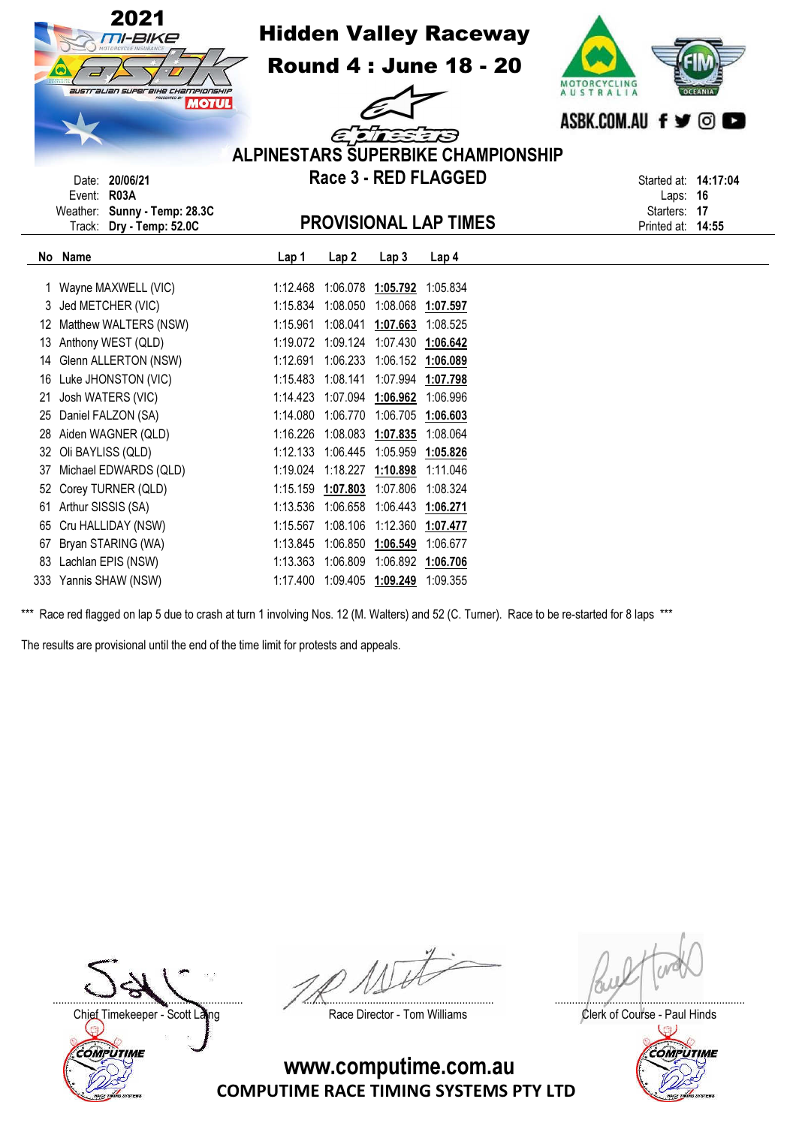

16 Luke JHONSTON (VIC) 1:15.483 1:08.141 1:07.994 1:07.798 21 Josh WATERS (VIC) 1:14.423 1:07.094 1:06.962 1:06.996 25 Daniel FALZON (SA) 1:14.080 1:06.770 1:06.705 1:06.603 28 Aiden WAGNER (QLD) 1:16.226 1:08.083 1:07.835 1:08.064 32 Oli BAYLISS (QLD) 1:12.133 1:06.445 1:05.959 1:05.826 37 Michael EDWARDS (QLD) 1:19.024 1:18.227 1:10.898 1:11.046 52 Corey TURNER (QLD) 1:15.159 1:07.803 1:07.806 1:08.324 61 Arthur SISSIS (SA) 1:13.536 1:06.658 1:06.443 1:06.271 65 Cru HALLIDAY (NSW) 1:15.567 1:08.106 1:12.360 1:07.477 67 Bryan STARING (WA) 1:13.845 1:06.850 1:06.549 1:06.677 83 Lachlan EPIS (NSW) 1:13.363 1:06.809 1:06.892 1:06.706 333 Yannis SHAW (NSW) 1:17.400 1:09.405 1:09.249 1:09.355

The results are provisional until the end of the time limit for protests and appeals.

|                                               |  | $\sim$ |
|-----------------------------------------------|--|--------|
|                                               |  |        |
| <br>$\sim$ $\sim$ $\sim$ $\sim$ $\sim$ $\sim$ |  |        |

**COMPUTIME** 

.................................................................. .................................................................. ..................................................................

Race red flagged on lap 5 due to crash at turn 1 involving Nos. 12 (M. Walters) and 52 (C. Turner). Race to be re-started for 8 laps \*\*\*

COMPUTIME RACE TIMING SYSTEMS PTY LTD www.computime.com.au

Chief Timekeeper - Scott Laing Chief Timekeeper - Scott Laing Race Director - Tom Williams Clerk of Course - Paul Hinds W

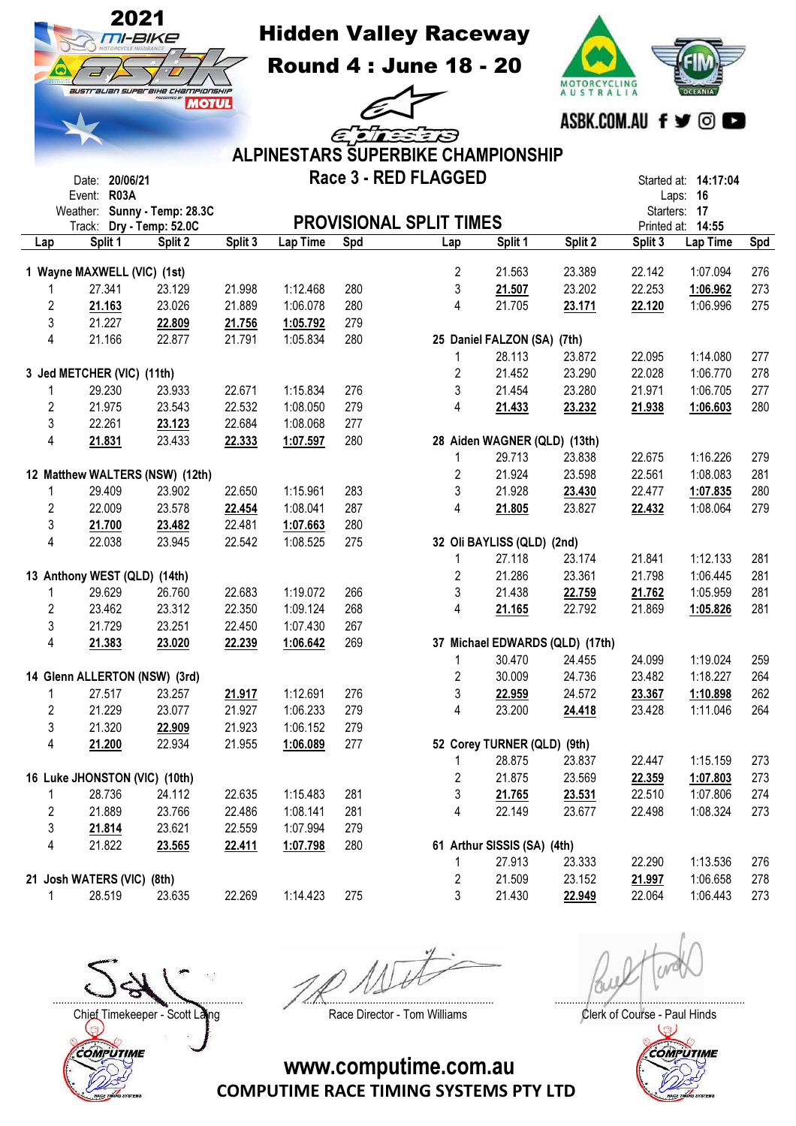

Hidden Valley Raceway

Round 4 : June 18 - 20

13  $\equiv$ 

 $\epsilon$ <sub>c</sub> $\pi$ <sub>s</sub>



|                |                               |                                                          |         |                 |     | <b>ALPINESTARS SUPERBIKE CHAMPIONSHIP</b> |                              |                                 |             |                                  |     |
|----------------|-------------------------------|----------------------------------------------------------|---------|-----------------|-----|-------------------------------------------|------------------------------|---------------------------------|-------------|----------------------------------|-----|
|                | Date: 20/06/21<br>Event: R03A |                                                          |         |                 |     | Race 3 - RED FLAGGED                      |                              |                                 |             | Started at: 14:17:04<br>Laps: 16 |     |
|                |                               | Weather: Sunny - Temp: 28.3C<br>Track: Dry - Temp: 52.0C |         |                 |     | <b>PROVISIONAL SPLIT TIMES</b>            |                              |                                 | Printed at: | Starters: 17<br>14:55            |     |
| Lap            | Split 1                       | Split 2                                                  | Split 3 | <b>Lap Time</b> | Spd | Lap                                       | Split 1                      | Split 2                         | Split 3     | Lap Time                         | Spd |
|                |                               |                                                          |         |                 |     |                                           |                              |                                 |             |                                  |     |
|                | 1 Wayne MAXWELL (VIC) (1st)   |                                                          |         |                 |     | $\overline{2}$                            | 21.563                       | 23.389                          | 22.142      | 1:07.094                         | 276 |
|                | 27.341                        | 23.129                                                   | 21.998  | 1:12.468        | 280 | 3                                         | 21.507                       | 23.202                          | 22.253      | 1:06.962                         | 273 |
| 2              | 21.163                        | 23.026                                                   | 21.889  | 1:06.078        | 280 | 4                                         | 21.705                       | 23.171                          | 22.120      | 1:06.996                         | 275 |
| 3              | 21.227                        | 22.809                                                   | 21.756  | 1:05.792        | 279 |                                           |                              |                                 |             |                                  |     |
| 4              | 21.166                        | 22.877                                                   | 21.791  | 1:05.834        | 280 |                                           | 25 Daniel FALZON (SA)        | (7th)                           |             |                                  |     |
|                |                               |                                                          |         |                 |     | 1                                         | 28.113                       | 23.872                          | 22.095      | 1:14.080                         | 277 |
|                | 3 Jed METCHER (VIC) (11th)    |                                                          |         |                 |     | 2                                         | 21.452                       | 23.290                          | 22.028      | 1:06.770                         | 278 |
| 1              | 29.230                        | 23.933                                                   | 22.671  | 1:15.834        | 276 | 3                                         | 21.454                       | 23.280                          | 21.971      | 1:06.705                         | 277 |
| 2              | 21.975                        | 23.543                                                   | 22.532  | 1:08.050        | 279 | 4                                         | 21.433                       | 23.232                          | 21.938      | 1:06.603                         | 280 |
| 3              | 22.261                        | 23.123                                                   | 22.684  | 1:08.068        | 277 |                                           |                              |                                 |             |                                  |     |
| 4              | 21.831                        | 23.433                                                   | 22.333  | 1:07.597        | 280 |                                           | 28 Aiden WAGNER (QLD) (13th) |                                 |             |                                  |     |
|                |                               |                                                          |         |                 |     | 1                                         | 29.713                       | 23.838                          | 22.675      | 1:16.226                         | 279 |
|                |                               | 12 Matthew WALTERS (NSW) (12th)                          |         |                 |     | 2                                         | 21.924                       | 23.598                          | 22.561      | 1:08.083                         | 281 |
| 1              | 29.409                        | 23.902                                                   | 22.650  | 1:15.961        | 283 | 3                                         | 21.928                       | 23.430                          | 22.477      | 1:07.835                         | 280 |
| 2              | 22.009                        | 23.578                                                   | 22.454  | 1:08.041        | 287 | 4                                         | 21.805                       | 23.827                          | 22.432      | 1:08.064                         | 279 |
| 3              | 21.700                        | 23.482                                                   | 22.481  | 1:07.663        | 280 |                                           |                              |                                 |             |                                  |     |
| 4              | 22.038                        | 23.945                                                   | 22.542  | 1:08.525        | 275 |                                           | 32 Oli BAYLISS (QLD) (2nd)   |                                 |             |                                  |     |
|                |                               |                                                          |         |                 |     | 1                                         | 27.118                       | 23.174                          | 21.841      | 1:12.133                         | 281 |
|                | 13 Anthony WEST (QLD) (14th)  |                                                          |         |                 |     | 2                                         | 21.286                       | 23.361                          | 21.798      | 1:06.445                         | 281 |
| 1              | 29.629                        | 26.760                                                   | 22.683  | 1:19.072        | 266 | 3                                         | 21.438                       | 22.759                          | 21.762      | 1:05.959                         | 281 |
| $\overline{c}$ | 23.462                        | 23.312                                                   | 22.350  | 1:09.124        | 268 | 4                                         | 21.165                       | 22.792                          | 21.869      | 1:05.826                         | 281 |
| 3              | 21.729                        | 23.251                                                   | 22.450  | 1:07.430        | 267 |                                           |                              |                                 |             |                                  |     |
| 4              | 21.383                        | 23.020                                                   | 22.239  | 1:06.642        | 269 |                                           |                              | 37 Michael EDWARDS (QLD) (17th) |             |                                  |     |
|                |                               |                                                          |         |                 |     | 1                                         | 30.470                       | 24.455                          | 24.099      | 1:19.024                         | 259 |
|                | 14 Glenn ALLERTON (NSW) (3rd) |                                                          |         |                 |     | 2                                         | 30.009                       | 24.736                          | 23.482      | 1:18.227                         | 264 |
| 1              | 27.517                        | 23.257                                                   | 21.917  | 1:12.691        | 276 | 3                                         | 22.959                       | 24.572                          | 23.367      | 1:10.898                         | 262 |
| 2              | 21.229                        | 23.077                                                   | 21.927  | 1:06.233        | 279 | 4                                         | 23.200                       | 24.418                          | 23.428      | 1:11.046                         | 264 |
| 3              | 21.320                        | 22.909                                                   | 21.923  | 1:06.152        | 279 |                                           |                              |                                 |             |                                  |     |
| 4              | 21.200                        | 22.934                                                   | 21.955  | 1:06.089        | 277 |                                           | 52 Corey TURNER (QLD) (9th)  |                                 |             |                                  |     |
|                |                               |                                                          |         |                 |     | 1                                         | 28.875                       | 23.837                          | 22.447      | 1:15.159                         | 273 |
|                | 16 Luke JHONSTON (VIC) (10th) |                                                          |         |                 |     | $\overline{2}$                            | 21.875                       | 23.569                          | 22.359      | 1:07.803                         | 273 |
|                | 28.736                        | 24.112                                                   | 22.635  | 1:15.483        | 281 | 3                                         | 21.765                       | 23.531                          | 22.510      | 1:07.806                         | 274 |
| 2              | 21.889                        | 23.766                                                   | 22.486  | 1:08.141        | 281 | 4                                         | 22.149                       | 23.677                          | 22.498      | 1:08.324                         | 273 |
| 3              | 21.814                        | 23.621                                                   | 22.559  | 1:07.994        | 279 |                                           |                              |                                 |             |                                  |     |
| 4              | 21.822                        | 23.565                                                   | 22.411  | 1:07.798        | 280 |                                           | 61 Arthur SISSIS (SA) (4th)  |                                 |             |                                  |     |
|                |                               |                                                          |         |                 |     | 1                                         | 27.913                       | 23.333                          | 22.290      | 1:13.536                         | 276 |
|                | 21 Josh WATERS (VIC) (8th)    |                                                          |         |                 |     | 2                                         | 21.509                       | 23.152                          | 21.997      | 1:06.658                         | 278 |
| 1              | 28.519                        | 23.635                                                   | 22.269  | 1:14.423        | 275 | 3                                         | 21.430                       | 22.949                          | 22.064      | 1:06.443                         | 273 |
|                |                               |                                                          |         |                 |     |                                           |                              |                                 |             |                                  |     |

Chief Timekeeper - Scott Laing Race Director - Tom Williams Clerk of Course - Paul Hinds COMPUTIME

.................................................................. .................................................................. ..................................................................

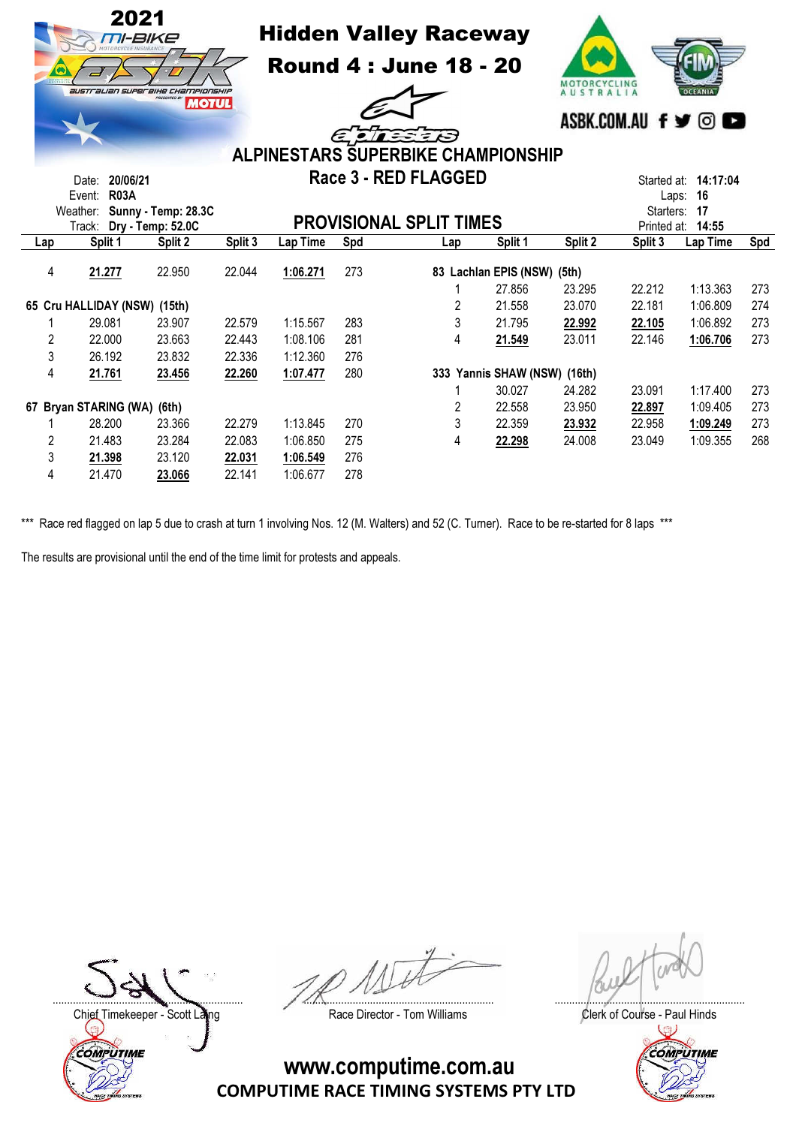

Hidden Valley Raceway

Round 4 : June 18 - 20



 $\epsilon$  or 3 ALPINESTARS SUPERBIKE CHAMPIONSHIP Race 3 - RED FLAGGED

| 20/06/21<br>Date:        |                              |                     |         |                                |                      | Race 3 - RED FLAGGED |                       |         |           | Started at: <b>14:17:04</b> |     |
|--------------------------|------------------------------|---------------------|---------|--------------------------------|----------------------|----------------------|-----------------------|---------|-----------|-----------------------------|-----|
|                          | <b>R03A</b><br>Event:        |                     |         |                                |                      |                      |                       |         |           | -16<br>Laps:                |     |
|                          | Weather:                     | Sunny - Temp: 28.3C |         |                                |                      |                      |                       |         | Starters: | -17                         |     |
| Track: Dry - Temp: 52.0C |                              |                     |         | <b>PROVISIONAL SPLIT TIMES</b> | 14:55<br>Printed at: |                      |                       |         |           |                             |     |
| Lap                      | Split 1                      | Split 2             | Split 3 | Lap Time                       | Spd                  | Lap                  | Split 1               | Split 2 | Split 3   | Lap Time                    | Spd |
| 4                        | 21.277                       | 22.950              | 22.044  | 1:06.271                       | 273                  |                      | 83 Lachlan EPIS (NSW) | (5th)   |           |                             |     |
|                          |                              |                     |         |                                |                      |                      | 27.856                | 23.295  | 22.212    | 1:13.363                    | 273 |
|                          | 65 Cru HALLIDAY (NSW) (15th) |                     |         |                                |                      | 2                    | 21.558                | 23.070  | 22.181    | 1:06.809                    | 274 |
|                          | 29.081                       | 23.907              | 22.579  | 1:15.567                       | 283                  | 3                    | 21.795                | 22.992  | 22.105    | 1:06.892                    | 273 |
| 2                        | 22,000                       | 23.663              | 22,443  | 1:08.106                       | 281                  | 4                    | 21.549                | 23.011  | 22.146    | 1:06.706                    | 273 |
| 3                        | 26.192                       | 23.832              | 22.336  | 1:12.360                       | 276                  |                      |                       |         |           |                             |     |
| 4                        | 21.761                       | 23.456              | 22.260  | 1:07.477                       | 280                  |                      | 333 Yannis SHAW (NSW) | (16th)  |           |                             |     |
|                          |                              |                     |         |                                |                      |                      | 30.027                | 24.282  | 23.091    | 1:17.400                    | 273 |
|                          | 67 Bryan STARING (WA) (6th)  |                     |         |                                |                      |                      | 22,558                | 23.950  | 22.897    | 1:09.405                    | 273 |
|                          | 28.200                       | 23.366              | 22,279  | 1:13.845                       | 270                  | 3                    | 22,359                | 23.932  | 22.958    | 1:09.249                    | 273 |
| 2                        | 21.483                       | 23.284              | 22.083  | 1:06.850                       | 275                  | 4                    | 22.298                | 24.008  | 23.049    | 1:09.355                    | 268 |
| 3                        | 21.398                       | 23.120              | 22.031  | 1:06.549                       | 276                  |                      |                       |         |           |                             |     |
| 4                        | 21.470                       | 23.066              | 22.141  | 1:06.677                       | 278                  |                      |                       |         |           |                             |     |

\*\*\* Race red flagged on lap 5 due to crash at turn 1 involving Nos. 12 (M. Walters) and 52 (C. Turner). Race to be re-started for 8 laps \*\*\*

The results are provisional until the end of the time limit for protests and appeals.

Chief Timekeeper - Scott Laing **Race Director - Tom Williams** Chief Timekeeper - Scott Laing COMPUTIME

.................................................................. .................................................................. ..................................................................

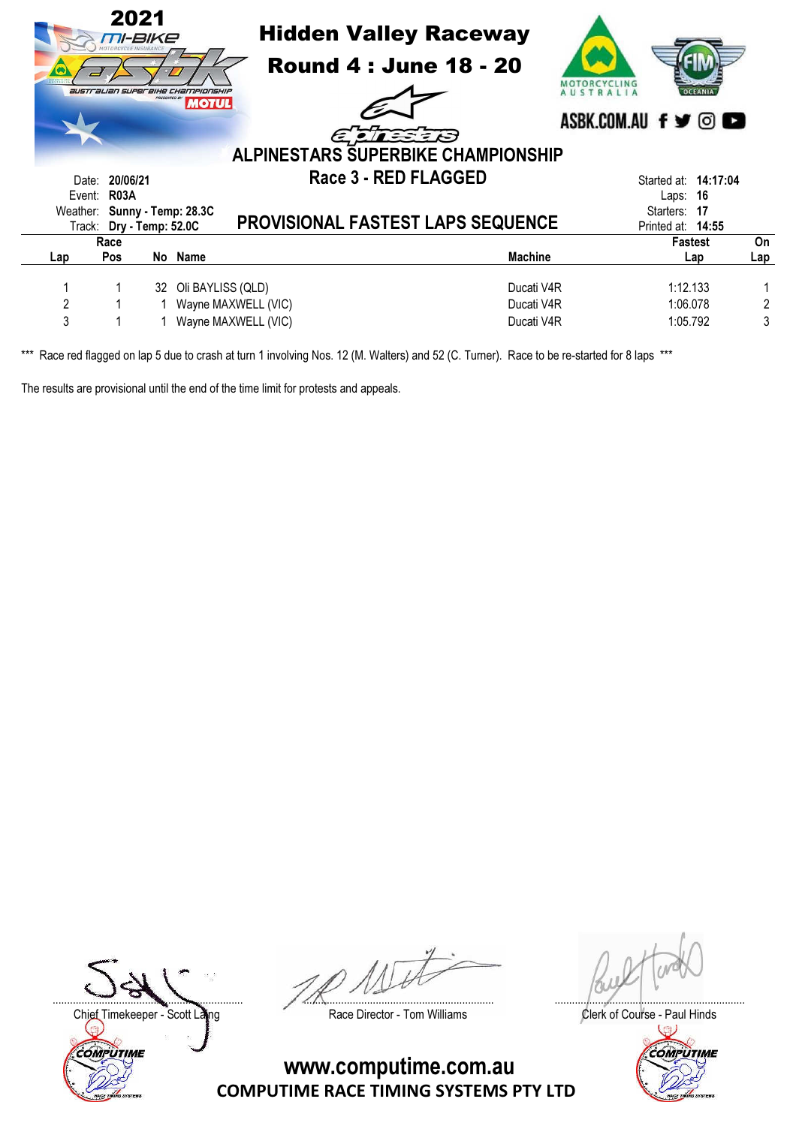|                | 2021                         | TI-BIKE | <b>Hidden Valley Raceway</b><br><b>Round 4: June 18 - 20</b><br><b>australian superbike Championship</b><br><b>MOTUL</b><br>EETEEB<br><b>ALPINESTARS SUPERBIKE CHAMPIONSHIP</b> |                | ASBK.COM.AU f y © C         |     |  |  |  |  |
|----------------|------------------------------|---------|---------------------------------------------------------------------------------------------------------------------------------------------------------------------------------|----------------|-----------------------------|-----|--|--|--|--|
|                |                              |         |                                                                                                                                                                                 |                |                             |     |  |  |  |  |
| Date:          | 20/06/21                     |         | Race 3 - RED FLAGGED                                                                                                                                                            |                | Started at: <b>14:17:04</b> |     |  |  |  |  |
|                | Event: R03A                  |         |                                                                                                                                                                                 |                | 16<br>Laps:                 |     |  |  |  |  |
|                | Weather: Sunny - Temp: 28.3C |         |                                                                                                                                                                                 |                | Starters:<br>-17            |     |  |  |  |  |
|                | Track: Dry - Temp: 52.0C     |         | PROVISIONAL FASTEST LAPS SEQUENCE                                                                                                                                               |                | Printed at: 14:55           |     |  |  |  |  |
|                | Race                         |         |                                                                                                                                                                                 |                | <b>Fastest</b>              | On  |  |  |  |  |
| Lap            | <b>Pos</b>                   |         | No Name                                                                                                                                                                         | <b>Machine</b> | Lap                         | Lap |  |  |  |  |
|                |                              |         |                                                                                                                                                                                 |                |                             |     |  |  |  |  |
|                |                              |         | 32 Oli BAYLISS (QLD)                                                                                                                                                            | Ducati V4R     | 1:12.133                    |     |  |  |  |  |
| $\overline{2}$ |                              |         | 1 Wayne MAXWELL (VIC)                                                                                                                                                           | Ducati V4R     | 1:06.078                    | 2   |  |  |  |  |
| 3              |                              |         | Wayne MAXWELL (VIC)                                                                                                                                                             | Ducati V4R     | 1:05.792                    | 3   |  |  |  |  |
|                |                              |         |                                                                                                                                                                                 |                |                             |     |  |  |  |  |

The results are provisional until the end of the time limit for protests and appeals.

Chief Timekeeper - Scott Laing Race Director - Tom Williams Clerk of Course - Paul Hinds<br>Clerk of Course - Paul Hinds COMPUTIME

.................................................................. .................................................................. ..................................................................

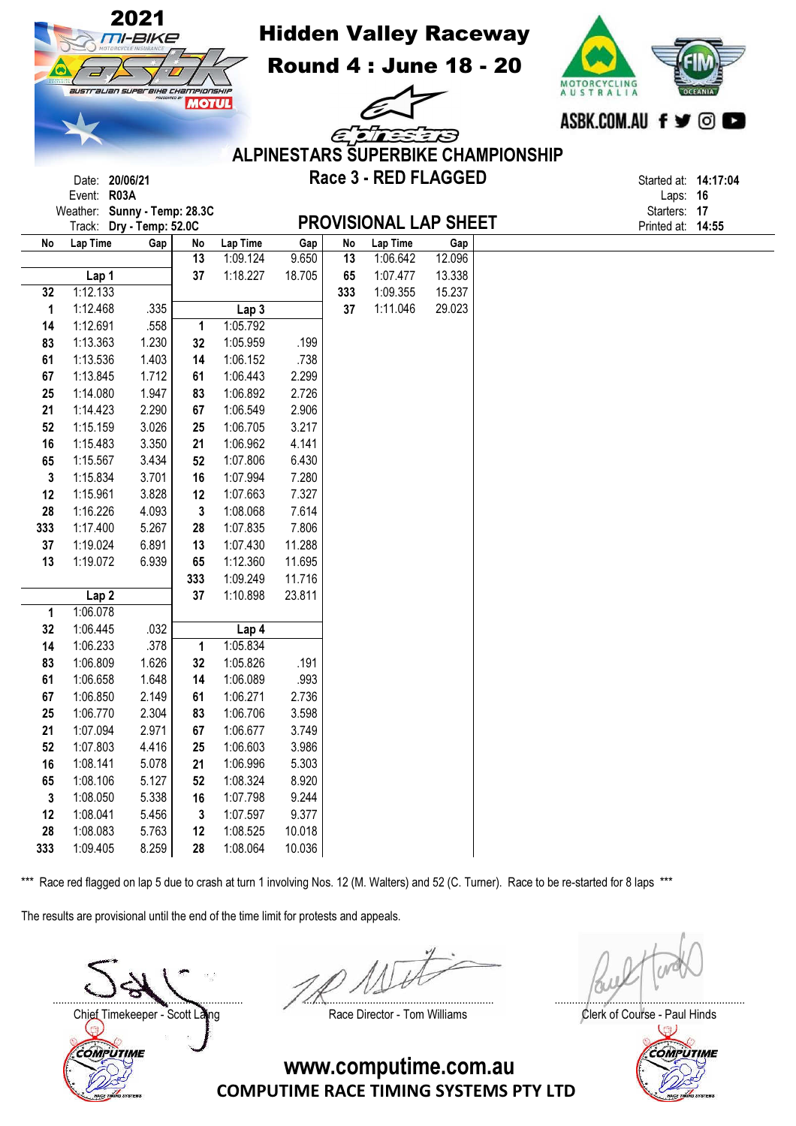|     |                   | 2021<br><i>TI-BIKE</i>            |              |                      |                  |          | <b>Hidden Valley Raceway</b> |                  |                                           |                                  |                      |  |
|-----|-------------------|-----------------------------------|--------------|----------------------|------------------|----------|------------------------------|------------------|-------------------------------------------|----------------------------------|----------------------|--|
|     |                   |                                   |              |                      |                  |          | <b>Round 4: June 18 - 20</b> |                  |                                           |                                  |                      |  |
|     |                   | australian superaike championskip | <b>MOTUL</b> |                      |                  |          |                              |                  |                                           | MOTORCYCLING<br><b>AUSTRALIA</b> |                      |  |
|     |                   |                                   |              |                      |                  |          |                              |                  |                                           | ASBK.COM.AU f y ©                |                      |  |
|     |                   |                                   |              |                      |                  |          | ELLEED                       |                  |                                           |                                  |                      |  |
|     |                   |                                   |              |                      |                  |          |                              |                  | <b>ALPINESTARS SUPERBIKE CHAMPIONSHIP</b> |                                  |                      |  |
|     |                   | Date: 20/06/21                    |              |                      |                  |          | Race 3 - RED FLAGGED         |                  |                                           |                                  | Started at: 14:17:04 |  |
|     | Event: R03A       |                                   |              |                      |                  |          |                              |                  |                                           |                                  | Laps: 16             |  |
|     |                   | Weather: Sunny - Temp: 28.3C      |              |                      |                  |          |                              |                  |                                           |                                  | Starters: 17         |  |
|     |                   | Track: Dry - Temp: 52.0C          |              |                      |                  |          | <b>PROVISIONAL LAP SHEET</b> |                  |                                           |                                  | Printed at: 14:55    |  |
| No  | Lap Time          | Gap                               | No           | Lap Time             | Gap              | No       | Lap Time                     | Gap              |                                           |                                  |                      |  |
|     |                   |                                   | 13<br>37     | 1:09.124<br>1:18.227 | 9.650<br>18.705  | 13<br>65 | 1:06.642<br>1:07.477         | 12.096           |                                           |                                  |                      |  |
| 32  | Lap 1<br>1:12.133 |                                   |              |                      |                  | 333      | 1:09.355                     | 13.338<br>15.237 |                                           |                                  |                      |  |
| 1   | 1:12.468          | .335                              |              | Lap <sub>3</sub>     |                  | 37       | 1:11.046                     | 29.023           |                                           |                                  |                      |  |
| 14  | 1:12.691          | .558                              | 1            | 1:05.792             |                  |          |                              |                  |                                           |                                  |                      |  |
| 83  | 1:13.363          | 1.230                             | 32           | 1:05.959             | .199             |          |                              |                  |                                           |                                  |                      |  |
| 61  | 1:13.536          | 1.403                             | 14           | 1:06.152             | .738             |          |                              |                  |                                           |                                  |                      |  |
| 67  | 1:13.845          | 1.712                             | 61           | 1:06.443             | 2.299            |          |                              |                  |                                           |                                  |                      |  |
| 25  | 1:14.080          | 1.947                             | 83           | 1:06.892             | 2.726            |          |                              |                  |                                           |                                  |                      |  |
| 21  | 1:14.423          | 2.290                             | 67           | 1:06.549             | 2.906            |          |                              |                  |                                           |                                  |                      |  |
| 52  | 1:15.159          | 3.026                             | 25           | 1:06.705             | 3.217            |          |                              |                  |                                           |                                  |                      |  |
| 16  | 1:15.483          | 3.350                             | 21           | 1:06.962             | 4.141            |          |                              |                  |                                           |                                  |                      |  |
| 65  | 1:15.567          | 3.434                             | 52           | 1:07.806             | 6.430            |          |                              |                  |                                           |                                  |                      |  |
| 3   | 1:15.834          | 3.701                             | 16           | 1:07.994             | 7.280            |          |                              |                  |                                           |                                  |                      |  |
| 12  | 1:15.961          | 3.828                             | 12           | 1:07.663             | 7.327            |          |                              |                  |                                           |                                  |                      |  |
| 28  | 1:16.226          | 4.093                             | 3            | 1:08.068             | 7.614            |          |                              |                  |                                           |                                  |                      |  |
| 333 | 1:17.400          | 5.267                             | 28           | 1:07.835             | 7.806            |          |                              |                  |                                           |                                  |                      |  |
| 37  | 1:19.024          | 6.891                             | 13           | 1:07.430             | 11.288           |          |                              |                  |                                           |                                  |                      |  |
| 13  | 1:19.072          | 6.939                             | 65           | 1:12.360<br>1:09.249 | 11.695           |          |                              |                  |                                           |                                  |                      |  |
|     | Lap <sub>2</sub>  |                                   | 333<br>37    | 1:10.898             | 11.716<br>23.811 |          |                              |                  |                                           |                                  |                      |  |
| 1   | 1:06.078          |                                   |              |                      |                  |          |                              |                  |                                           |                                  |                      |  |
| 32  | 1:06.445          | .032                              |              | Lap 4                |                  |          |                              |                  |                                           |                                  |                      |  |
| 14  | 1:06.233          | .378                              | 1            | 1:05.834             |                  |          |                              |                  |                                           |                                  |                      |  |
| 83  | 1:06.809          | 1.626                             | 32           | 1:05.826             | .191             |          |                              |                  |                                           |                                  |                      |  |
| 61  | 1:06.658          | 1.648                             | 14           | 1:06.089             | .993             |          |                              |                  |                                           |                                  |                      |  |
| 67  | 1:06.850          | 2.149                             | 61           | 1:06.271             | 2.736            |          |                              |                  |                                           |                                  |                      |  |
| 25  | 1:06.770          | 2.304                             | 83           | 1:06.706             | 3.598            |          |                              |                  |                                           |                                  |                      |  |
| 21  | 1:07.094          | 2.971                             | 67           | 1:06.677             | 3.749            |          |                              |                  |                                           |                                  |                      |  |
| 52  | 1:07.803          | 4.416                             | 25           | 1:06.603             | 3.986            |          |                              |                  |                                           |                                  |                      |  |
| 16  | 1:08.141          | 5.078                             | 21           | 1:06.996             | 5.303            |          |                              |                  |                                           |                                  |                      |  |
| 65  | 1:08.106          | 5.127                             | 52           | 1:08.324             | 8.920            |          |                              |                  |                                           |                                  |                      |  |
| 3   | 1:08.050          | 5.338                             | 16           | 1:07.798             | 9.244            |          |                              |                  |                                           |                                  |                      |  |
| 12  | 1:08.041          | 5.456                             | 3            | 1:07.597             | 9.377            |          |                              |                  |                                           |                                  |                      |  |
| 28  | 1:08.083          | 5.763                             | 12           | 1:08.525             | 10.018           |          |                              |                  |                                           |                                  |                      |  |
| 333 | 1:09.405          | 8.259                             | 28           | 1:08.064             | 10.036           |          |                              |                  |                                           |                                  |                      |  |

The results are provisional until the end of the time limit for protests and appeals.

.................................................................. .................................................................. ..................................................................



Chief Timekeeper - Scott Laing Race Director - Tom Williams Clerk of Course - Paul Hinds<br>Clerk of Course - Paul Hinds COMPUTIME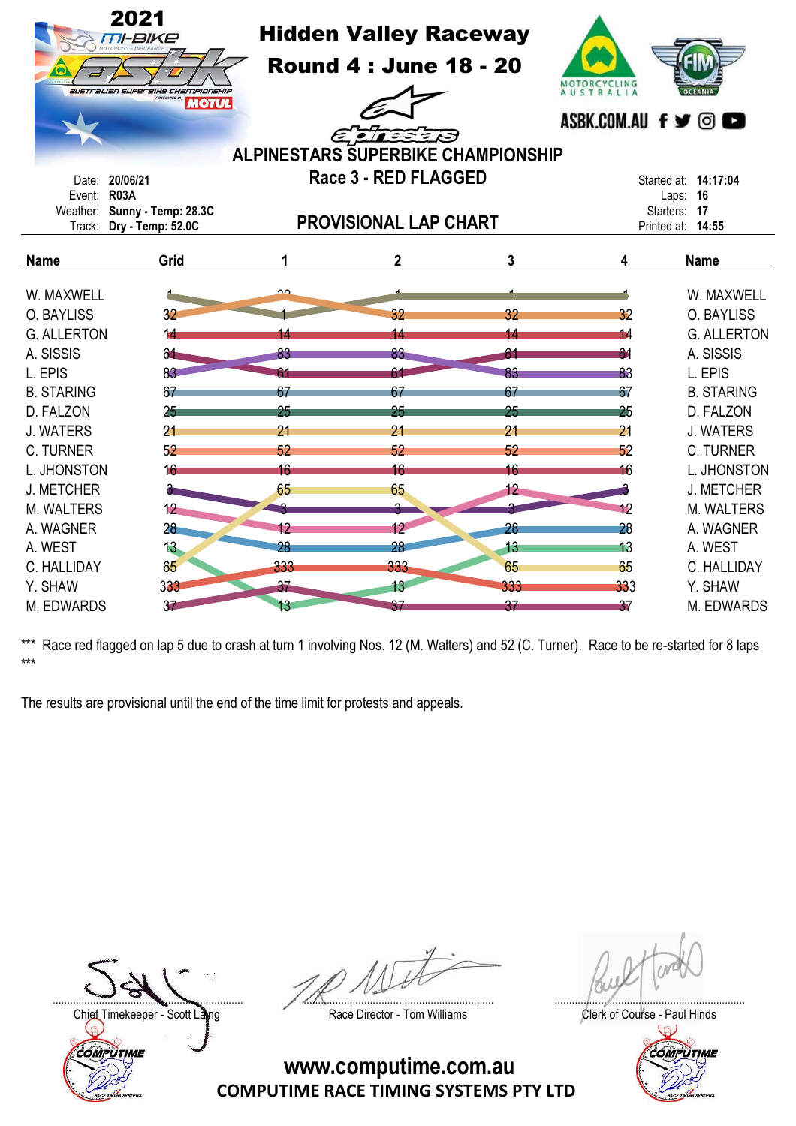|                    | 2021<br>M-BIKE<br>australian superaixe championship<br><b>MOTUL</b> |     | <b>Hidden Valley Raceway</b><br><b>Round 4: June 18 - 20</b><br>EINEIS<br><b>ALPINESTARS SUPERBIKE CHAMPIONSHIP</b> | MOTORCYCLING<br><b>AUSTRALIA</b><br>ASBK.COM.AU f y © |     |                                               |  |
|--------------------|---------------------------------------------------------------------|-----|---------------------------------------------------------------------------------------------------------------------|-------------------------------------------------------|-----|-----------------------------------------------|--|
| Date:              | 20/06/21                                                            |     | Race 3 - RED FLAGGED                                                                                                |                                                       |     | Started at: 14:17:04                          |  |
| Event: R03A        | Weather: Sunny - Temp: 28.3C<br>Track: Dry - Temp: 52.0C            |     | <b>PROVISIONAL LAP CHART</b>                                                                                        |                                                       |     | Laps: 16<br>Starters: 17<br>Printed at: 14:55 |  |
| <b>Name</b>        | Grid                                                                | 1   | $\mathbf 2$                                                                                                         | 3                                                     | 4   | <b>Name</b>                                   |  |
| W. MAXWELL         |                                                                     | ∩∩  |                                                                                                                     |                                                       |     | W. MAXWELL                                    |  |
| O. BAYLISS         | 32                                                                  |     | 32                                                                                                                  | 32                                                    | 32  | O. BAYLISS                                    |  |
| <b>G. ALLERTON</b> |                                                                     |     | 14                                                                                                                  |                                                       | 14  | <b>G. ALLERTON</b>                            |  |
| A. SISSIS          | 64                                                                  | 83  | 83                                                                                                                  | 61                                                    | 61  | A. SISSIS                                     |  |
| L. EPIS            | 83                                                                  |     |                                                                                                                     | 83                                                    | 83  | L. EPIS                                       |  |
| <b>B. STARING</b>  | 67                                                                  |     | 67                                                                                                                  | 67                                                    | 67  | <b>B. STARING</b>                             |  |
| D. FALZON          | 25                                                                  | 25  | 25                                                                                                                  | 25                                                    | 25  | D. FALZON                                     |  |
| <b>J. WATERS</b>   | 2 <sub>1</sub>                                                      | 21  | 21                                                                                                                  | 21                                                    | 21  | <b>J. WATERS</b>                              |  |
| <b>C. TURNER</b>   | 52                                                                  | 52  | 52                                                                                                                  | 52                                                    | 52  | C. TURNER                                     |  |
| L. JHONSTON        | 16                                                                  | 16  | 16                                                                                                                  | 16                                                    | 16  | L. JHONSTON                                   |  |
| <b>J. METCHER</b>  |                                                                     | 65  | 65                                                                                                                  | 12                                                    |     | <b>J. METCHER</b>                             |  |
| M. WALTERS         | 12                                                                  |     |                                                                                                                     |                                                       | 12  | M. WALTERS                                    |  |
| A. WAGNER          | 28                                                                  | 12  | 12                                                                                                                  | 28                                                    | 28  | A. WAGNER                                     |  |
| A. WEST            | 13                                                                  | 28  | 28                                                                                                                  | 13                                                    | 13  | A. WEST                                       |  |
| C. HALLIDAY        | 65                                                                  | 333 | 333                                                                                                                 | 65                                                    | 65  | C. HALLIDAY                                   |  |
| Y. SHAW            | 333                                                                 | 37  | 13                                                                                                                  | 333                                                   | 333 | Y. SHAW                                       |  |
| M. EDWARDS         | 3 <sub>7</sub>                                                      | 13  | 37                                                                                                                  | 37                                                    | 37  | M. EDWARDS                                    |  |

The results are provisional until the end of the time limit for protests and appeals.

Chief Timekeeper - Scott Laing Race Director - Tom Williams Clerk of Course - Paul Hinds<br>Clerk of Course - Paul Hinds COMPUTIME

.................................................................. .................................................................. ..................................................................

COMPUTIME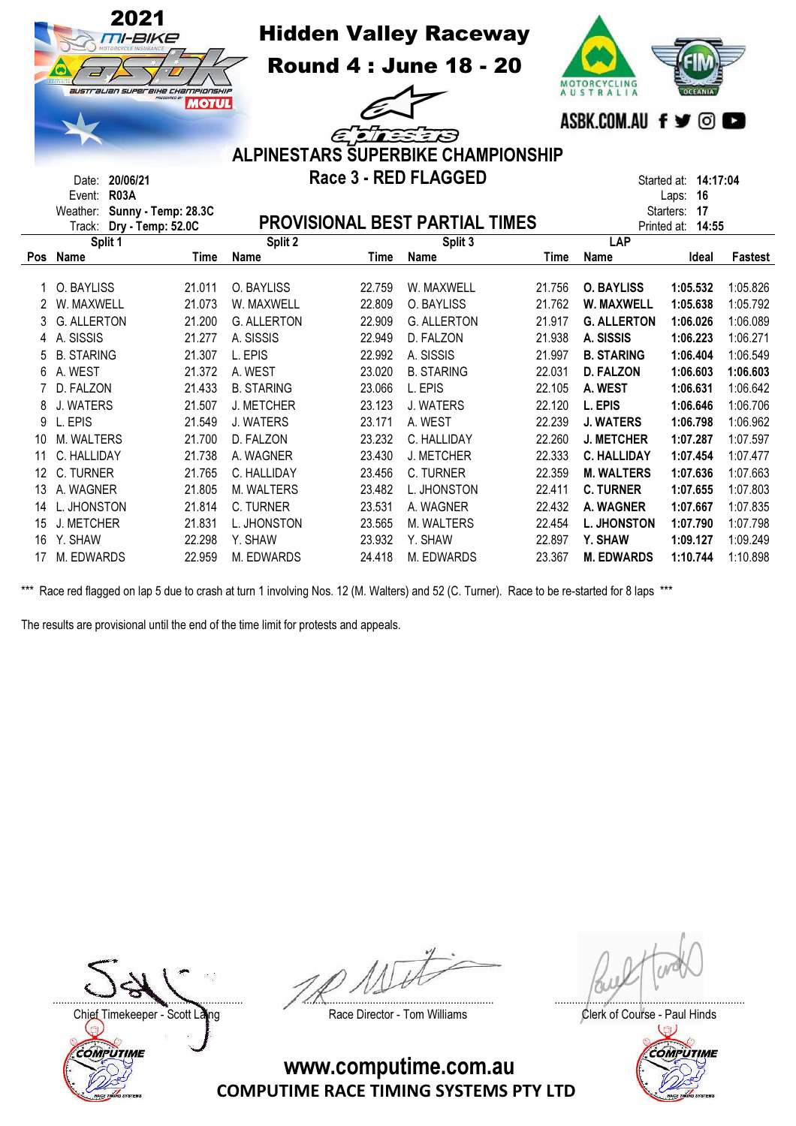|     | 2021<br><i>TII-BIKE</i><br>australian superaihe Championship<br>PRESENTED BY<br>20/06/21<br>Date:<br><b>R03A</b><br>Event: | <b>MOTUL</b> |                    | <b>Hidden Valley Raceway</b><br><b>Round 4 : June 18 - 20</b><br>EDIESER<br><b>ALPINESTARS SUPERBIKE CHAMPIONSHIP</b><br>Race 3 - RED FLAGGED |                                       |             |                    |                          | MOTORCYCLING<br>AUSTRALIA<br><b>OCEANIA</b><br>ASBK.COM.AU f <b>y</b> © <b>c</b><br>Started at: 14:17:04<br>16<br>Laps: |  |  |  |
|-----|----------------------------------------------------------------------------------------------------------------------------|--------------|--------------------|-----------------------------------------------------------------------------------------------------------------------------------------------|---------------------------------------|-------------|--------------------|--------------------------|-------------------------------------------------------------------------------------------------------------------------|--|--|--|
|     | Sunny - Temp: 28.3C<br>Weather:<br>Dry - Temp: 52.0C<br>Track:                                                             |              |                    |                                                                                                                                               | <b>PROVISIONAL BEST PARTIAL TIMES</b> |             | Printed at:        | 17<br>Starters:<br>14:55 |                                                                                                                         |  |  |  |
|     | Split 1                                                                                                                    |              | Split 2            |                                                                                                                                               | Split 3                               |             | LAP                |                          |                                                                                                                         |  |  |  |
| Pos | Name                                                                                                                       | <b>Time</b>  | Name               | <b>Time</b>                                                                                                                                   | Name                                  | <b>Time</b> | Name               | Ideal                    | Fastest                                                                                                                 |  |  |  |
|     | O. BAYLISS                                                                                                                 | 21.011       | O. BAYLISS         | 22.759                                                                                                                                        | W. MAXWELL                            | 21.756      | <b>O. BAYLISS</b>  | 1:05.532                 | 1:05.826                                                                                                                |  |  |  |
| 2   | W. MAXWELL                                                                                                                 | 21.073       | W. MAXWELL         | 22.809                                                                                                                                        | O. BAYLISS                            | 21.762      | W. MAXWELL         | 1:05.638                 | 1:05.792                                                                                                                |  |  |  |
| 3   | <b>G. ALLERTON</b>                                                                                                         | 21.200       | <b>G. ALLERTON</b> | 22.909                                                                                                                                        | <b>G. ALLERTON</b>                    | 21.917      | <b>G. ALLERTON</b> | 1:06.026                 | 1:06.089                                                                                                                |  |  |  |
| 4   | A. SISSIS                                                                                                                  | 21.277       | A. SISSIS          | 22.949                                                                                                                                        | D. FALZON                             | 21.938      | A. SISSIS          | 1:06.223                 | 1:06.271                                                                                                                |  |  |  |
| 5   | <b>B. STARING</b>                                                                                                          | 21.307       | L. EPIS            | 22.992                                                                                                                                        | A. SISSIS                             | 21.997      | <b>B. STARING</b>  | 1:06.404                 | 1:06.549                                                                                                                |  |  |  |
| 6   | A. WEST                                                                                                                    | 21.372       | A. WEST            | 23.020                                                                                                                                        | <b>B. STARING</b>                     | 22.031      | <b>D. FALZON</b>   | 1:06.603                 | 1:06.603                                                                                                                |  |  |  |
| 7   | D. FALZON                                                                                                                  | 21.433       | <b>B. STARING</b>  | 23.066                                                                                                                                        | L. EPIS                               | 22.105      | A. WEST            | 1:06.631                 | 1:06.642                                                                                                                |  |  |  |
| 8   | J. WATERS                                                                                                                  | 21.507       | J. METCHER         | 23.123                                                                                                                                        | J. WATERS                             | 22.120      | L. EPIS            | 1:06.646                 | 1:06.706                                                                                                                |  |  |  |
| 9   | L. EPIS                                                                                                                    | 21.549       | J. WATERS          | 23.171                                                                                                                                        | A. WEST                               | 22.239      | <b>J. WATERS</b>   | 1:06.798                 | 1:06.962                                                                                                                |  |  |  |
| 10  | <b>M. WALTERS</b>                                                                                                          | 21.700       | D. FALZON          | 23.232                                                                                                                                        | C. HALLIDAY                           | 22.260      | <b>J. METCHER</b>  | 1:07.287                 | 1:07.597                                                                                                                |  |  |  |
| 11  | C. HALLIDAY                                                                                                                | 21.738       | A. WAGNER          | 23.430                                                                                                                                        | J. METCHER                            | 22.333      | <b>C. HALLIDAY</b> | 1:07.454                 | 1:07.477                                                                                                                |  |  |  |
| 12  | C. TURNER                                                                                                                  | 21.765       | C. HALLIDAY        | 23.456                                                                                                                                        | C. TURNER                             | 22.359      | <b>M. WALTERS</b>  | 1:07.636                 | 1:07.663                                                                                                                |  |  |  |
| 13  | A. WAGNER                                                                                                                  | 21.805       | M. WALTERS         | 23.482                                                                                                                                        | L. JHONSTON                           | 22.411      | <b>C. TURNER</b>   | 1:07.655                 | 1:07.803                                                                                                                |  |  |  |
| 14  | L. JHONSTON                                                                                                                | 21.814       | C. TURNER          | 23.531                                                                                                                                        | A. WAGNER                             | 22.432      | A. WAGNER          | 1:07.667                 | 1:07.835                                                                                                                |  |  |  |
| 15  | J. METCHER                                                                                                                 | 21.831       | L. JHONSTON        | 23.565                                                                                                                                        | M. WALTERS                            | 22.454      | <b>L. JHONSTON</b> | 1:07.790                 | 1:07.798                                                                                                                |  |  |  |
| 16  | Y. SHAW                                                                                                                    | 22.298       | Y. SHAW            | 23.932                                                                                                                                        | Y. SHAW                               | 22.897      | Y. SHAW            | 1:09.127                 | 1:09.249                                                                                                                |  |  |  |
| 17  | M. EDWARDS                                                                                                                 | 22.959       | M. EDWARDS         | 24.418                                                                                                                                        | M. EDWARDS                            | 23.367      | <b>M. EDWARDS</b>  | 1:10.744                 | 1:10.898                                                                                                                |  |  |  |

The results are provisional until the end of the time limit for protests and appeals.

Chief Timekeeper - Scott Laing Race Director - Tom Williams Clerk of Course - Paul Hinds<br>Clerk of Course - Paul Hinds COMPUTIME

.................................................................. .................................................................. ..................................................................